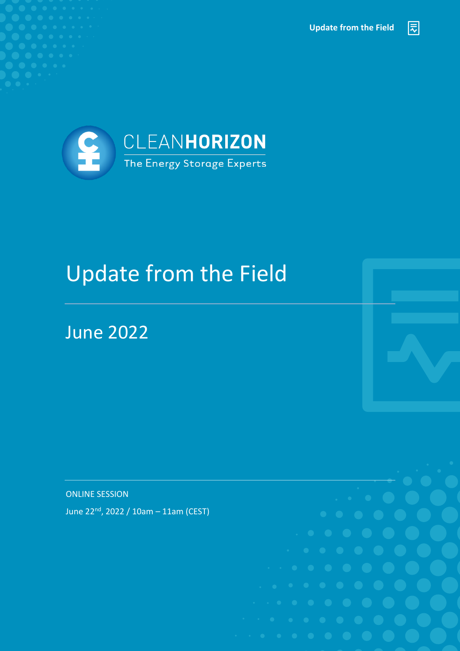**Update from the Field**

园



# Update from the Field

#### June 2022

ONLINE SESSION

June 22nd, 2022 / 10am – 11am (CEST)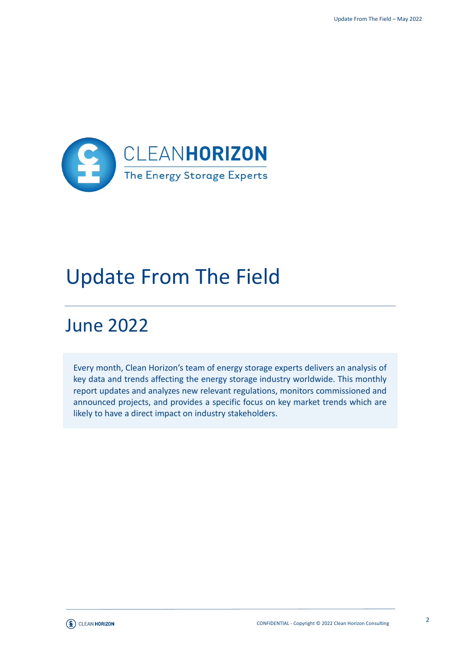

### Update From The Field

### June 2022

Every month, Clean Horizon's team of energy storage experts delivers an analysis of key data and trends affecting the energy storage industry worldwide. This monthly report updates and analyzes new relevant regulations, monitors commissioned and announced projects, and provides a specific focus on key market trends which are likely to have a direct impact on industry stakeholders.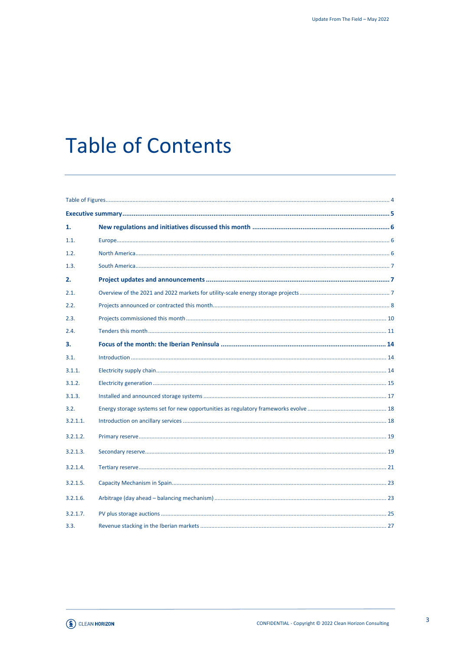## **Table of Contents**

| 1.       |  |  |
|----------|--|--|
| 1.1.     |  |  |
| 1.2.     |  |  |
| 1.3.     |  |  |
| 2.       |  |  |
| 2.1.     |  |  |
| 2.2.     |  |  |
| 2.3.     |  |  |
| 2.4.     |  |  |
| 3.       |  |  |
| 3.1.     |  |  |
| 3.1.1.   |  |  |
| 3.1.2.   |  |  |
| 3.1.3.   |  |  |
| 3.2.     |  |  |
| 3.2.1.1. |  |  |
| 3.2.1.2. |  |  |
| 3.2.1.3. |  |  |
| 3.2.1.4. |  |  |
| 3.2.1.5. |  |  |
| 3.2.1.6. |  |  |
| 3.2.1.7. |  |  |
| 3.3.     |  |  |